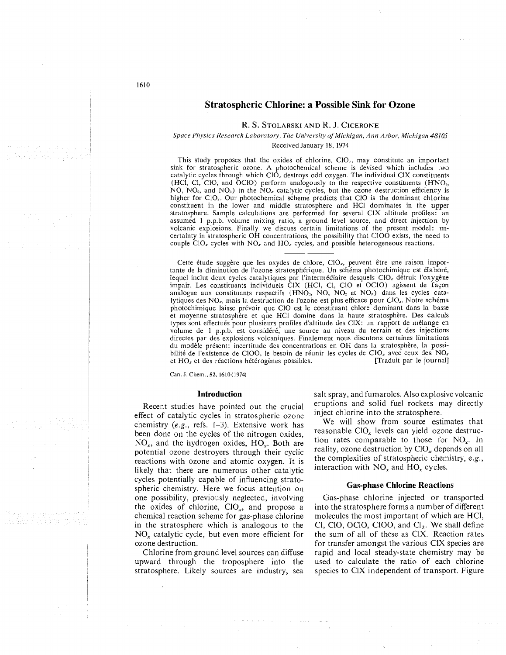## **Stratospheric Chlorine: a Possible Sink for Ozone**

#### R. S. STOLARSKI AND R. J. CICERONE

## Space Physics Research Laboratory, The University of Michigan, Ann Arbor, Michigan 48105 Received January 18, 1974

This study proposes that the oxides of chlorine, ClO<sub>r</sub>, may constitute an important sink for stratospheric ozone. A photochemical scheme is devised which includes two catalytic cycles through which  $ClO<sub>x</sub>$  destroys odd oxygen. The individual CIX constituents (HCl, Cl, ClO, and OClO) perform analogously to the respective constituents (HNO<sub>3</sub>, NO, NO<sub>2</sub>, and NO<sub>2</sub>) in the NO<sub>2</sub> catalytic cycles, but the ozone destruction efficiency is higher for CIO. Our photochemical scheme predicts that CIO is the dominant chlorine constituent in the lower and middle stratosphere and HCl dominates in the upper stratosphere. Sample calculations are performed for several CIX altitude profiles: an assumed 1 p.p.b. volume mixing ratio, a ground level source, and direct injection by volcanic explosions. Finally we discuss certain limitations of the present model: uncertainty in stratospheric OH concentrations, the possibility that ClOO exists, the need to couple CIO, cycles with NO, and HO, cycles, and possible heterogeneous reactions.

Cette étude suggère que les oxydes de chlore, ClO<sub>r</sub>, peuvent être une raison importante de la diminution de l'ozone stratosphérique. Un schéma photochimique est élaboré, lequel inclut deux cycles catalytiques par l'intermédiaire desquels CIO, détruit l'oxygène<br>impair. Les constituants individuels CIX (HCl, Cl, ClO et OCIO) agissent de façon analogue aux constituants respectifs (HNO<sub>3</sub>, NO, NO<sub>2</sub> et NO<sub>3</sub>) dans les cycles catalytiques des NO<sub>z</sub>, mais la destruction de l'ozone est plus efficace pour ClO<sub>z</sub>. Notre schéma photochimique laisse prévoir que ClO est le constituant chlore dominant dans la basse et moyenne stratosphère et que HCl domine dans la haute stratosphère. Des calculs types sont effectués pour plusieurs profiles d'altitude des CIX: un rapport de mélange en<br>volume de 1 p.p.b. est considéré, une source au niveau du terrain et des injections directes par des explosions volcaniques. Finalement nous discutons certaines limitations du modèle présent: incertitude des concentrations en OH dans la stratosphère, la possibilité de l'existence de ClOO, le besoin de réunir les cycles de ClO<sub>z</sub> avec ceux des NO<sub>z</sub> [Traduit par le journal] et HO<sub>r</sub> et des réactions hétérogènes possibles.

Can. J. Chem., 52, 1610 (1974)

#### **Introduction**

Recent studies have pointed out the crucial effect of catalytic cycles in stratospheric ozone chemistry (e.g., refs.  $1-3$ ). Extensive work has been done on the cycles of the nitrogen oxides,  $NO<sub>x</sub>$ , and the hydrogen oxides,  $HO<sub>x</sub>$ . Both are potential ozone destroyers through their cyclic reactions with ozone and atomic oxygen. It is likely that there are numerous other catalytic cycles potentially capable of influencing stratospheric chemistry. Here we focus attention on one possibility, previously neglected, involving the oxides of chlorine,  $CIO_x$ , and propose a chemical reaction scheme for gas-phase chlorine in the stratosphere which is analogous to the NO<sub>x</sub> catalytic cycle, but even more efficient for ozone destruction.

Chlorine from ground level sources can diffuse upward through the troposphere into the stratosphere. Likely sources are industry, sea

salt spray, and fumaroles. Also explosive volcanic eruptions and solid fuel rockets may directly inject chlorine into the stratosphere.

We will show from source estimates that reasonable ClO<sub>x</sub> levels can yield ozone destruction rates comparable to those for  $NO<sub>x</sub>$ . In reality, ozone destruction by ClO<sub>r</sub> depends on all the complexities of stratospheric chemistry, e.g., interaction with  $NO<sub>x</sub>$  and  $HO<sub>x</sub>$  cycles.

## **Gas-phase Chlorine Reactions**

Gas-phase chlorine injected or transported into the stratosphere forms a number of different molecules the most important of which are HCl, Cl, ClO, OClO, ClOO, and  $Cl<sub>2</sub>$ . We shall define the sum of all of these as CIX. Reaction rates for transfer amongst the various CIX species are rapid and local steady-state chemistry may be used to calculate the ratio of each chlorine species to CIX independent of transport. Figure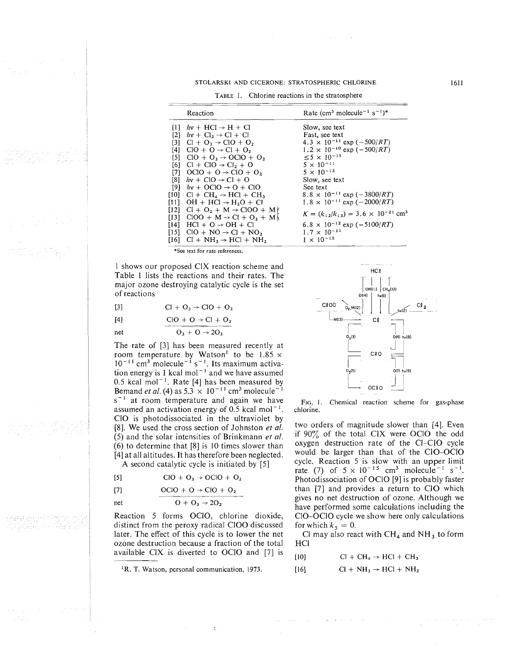#### STOLARSKI AND CICERONE: STRATOSPHERIC CHLORINE

TABLE 1. Chlorine reactions in the stratosphere

|      | Reaction                                                        | Rate (cm <sup>3</sup> molecule <sup>-1</sup> s <sup>-1</sup> ) <sup>*</sup> |
|------|-----------------------------------------------------------------|-----------------------------------------------------------------------------|
|      | $[1]$ $hv + HCl \rightarrow H + Cl$                             | Slow, see text                                                              |
|      | [2] $hv + Cl_2 \rightarrow Cl + Cl$                             | Fast, see text                                                              |
|      | [3] $Cl + O_3 \rightarrow ClO + O_2$                            | $4.3 \times 10^{-11}$ exp (-500/RT)                                         |
|      | $[4]$ ClO + O $\rightarrow$ Cl + O <sub>2</sub>                 | $1.2 \times 10^{-10}$ exp (-500/RT)                                         |
|      | [5] $ClO + O_3 \rightarrow OClO + O_2$                          | $< 5 \times 10^{-15}$                                                       |
|      | $[6]$ Cl + ClO $\rightarrow$ Cl <sub>2</sub> + O                | $5 \times 10^{-11}$                                                         |
|      | [7] $OClO + O \rightarrow ClO + O_2$                            | $5 \times 10^{-13}$                                                         |
|      | [8] $hv + CIO \rightarrow Cl + O$                               | Slow, see text                                                              |
|      | [9] $hv + OClO \rightarrow O + ClO$                             | See text                                                                    |
|      | $[10]$ Cl + CH <sub>4</sub> $\rightarrow$ HCl + CH <sub>3</sub> | $8.8 \times 10^{-11}$ exp (-3800/RT)                                        |
|      | $[11]$ OH + HCl $\rightarrow$ H <sub>2</sub> O + Cl             | $1.8 \times 10^{-11}$ exp (-2000/RT)                                        |
|      | $[12]$ Cl + O <sub>2</sub> + M $\rightarrow$ ClOO + M)          |                                                                             |
|      | [13] $CIOO + M \rightarrow Cl + O_2 + M$                        | $K = (k_{12}/k_{13}) = 3.6 \times 10^{-21}$ cm <sup>3</sup>                 |
| [14] | $HCl + O \rightarrow OH + Cl$                                   | $6.8 \times 10^{-12}$ exp (-5100/ <i>RT</i> )                               |
|      | $[15]$ CIO + NO $\rightarrow$ CI + NO,                          | $1.7 \times 10^{-11}$                                                       |
|      | $[16]$ Cl + NH <sub>3</sub> $\rightarrow$ HCl + NH <sub>2</sub> | $1 \times 10^{-12}$                                                         |

\*See text for rate references.

1 shows our proposed CIX reaction scheme and Table 1 lists the reactions and their rates. The major ozone destroying catalytic cycle is the set of reactions of reactions<br>
[3] Cl + O<sub>3</sub>  $\rightarrow$  ClO + O<sub>2</sub><br>
[4] ClO + O  $\rightarrow$  Cl + O<sub>2</sub><br>
net  $\frac{C_1 + C_2 + C_3}{C_3 + C_1}$ 

$$
[4] \qquad \qquad \text{ClO} + \text{O} \rightarrow \text{Cl} + \text{O}_3
$$

$$
O_3 + O \rightarrow 2
$$

The rate of [3] has been measured recently at [3] CI + O<sub>3</sub>  $\rightarrow$  CIO + O<sub>2</sub><br>
[4] CIO + O  $\rightarrow$  CI + O<sub>2</sub><br>
net O<sub>3</sub> + O  $\rightarrow$  2O<sub>2</sub><br>
The rate of [3] has been measured recently at<br>
room temperature by Watson<sup>1</sup> to be 1.85  $\times$ <br>
10<sup>-11</sup> cm<sup>3</sup> molecule<sup>-1</sup> s<sup>-1</sup>. Its maxim tion energy is 1 kcal mol<sup>-1</sup> and we have assumed 0.5 kcal mol<sup>-1</sup>. Rate [4] has been measured by Bemand *et al.* (4) as  $5.3 \times 10^{-11}$  cm<sup>3</sup> molecule<sup>-1</sup>  $s^{-1}$  at room temperature and again we have assumed an activation energy of  $0.5$  kcal mol<sup>-1</sup>. C10 is photodissociated in the ultraviolet by [8]. We used the cross section of Johnston **et** *al.*  (5) and the solar intensities of Brinkmann **el** *al.*  (6) to determine that [8] is 10 times slower than [4] at all altitudes. It has therefore been neglected.

A second catalytic cycle is initiated by [5]

$$
[5] \qquad \qquad \text{ClO} + \text{O}_3 \rightarrow \text{OCIO} + \text{O}
$$

[5] 
$$
ClO + O_3 \rightarrow OClO + O_2
$$
  
\n[7]  $OCIO + O \rightarrow ClO + O_2$   
\nnet  $O + O_3 \rightarrow 2O_2$ 

Reaction *5* forms OC10, chlorine dioxide, distinct from the peroxy radical ClOO discussed later. The effect of this cycle is to lower the net ozone destruction because a fraction of the total available ClX is diverted to OClO and  $[7]$  is



FIG. 1. Chemical reaction scheme for gas-phase chlorine.

two orders of magnitude slower than [4]. Even if  $90\%$  of the total CIX were OClO the odd oxygen destruction rate of the CI-C10 cycle would be larger than that of the C10-OC10 cycle. Reaction 5 is slow with an upper limit rate (7) of  $5 \times 10^{-15}$  cm<sup>3</sup> molecule<sup>-1</sup> s<sup>-1</sup>. Photodissociation of OClO [9] is probably faster than [7] and provides a return to ClO which gives no net destruction of ozone. Although we have performed some calculations including the CIO-OC10 cycle we show here only calculations for which  $k_5 = 0$ .

Cl may also react with  $CH_4$  and  $NH_3$  to form HC1

| $Cl + CH_4 \rightarrow HCl + CH_3$<br>[10] |
|--------------------------------------------|
|--------------------------------------------|

 $[16]$  Cl + NH<sub>3</sub>  $\rightarrow$  HCl + NH<sub>2</sub>

<sup>&#</sup>x27;R. T. Watson, personal communication, 1973.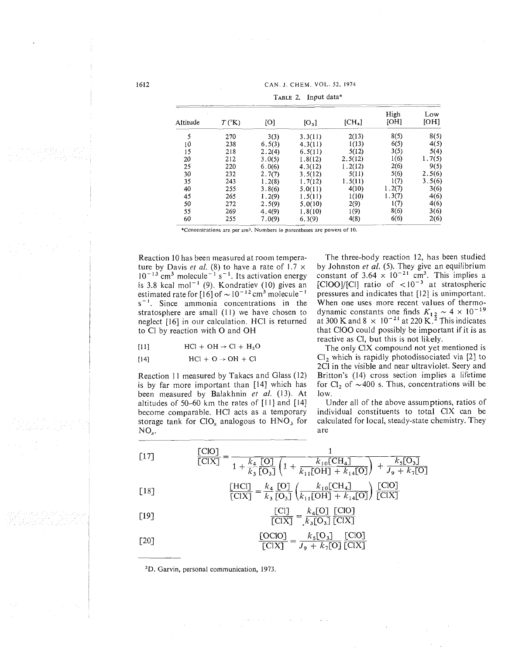CAN. J. CHEM. VOL. *52,* 1974

|          |                |        | CAN. J. CHEM. VOL. 52, 1974 |          |        |        |
|----------|----------------|--------|-----------------------------|----------|--------|--------|
|          |                |        | TABLE 2. Input data*        |          |        |        |
|          |                |        |                             |          | High   | Low    |
| Altitude | $T(^{\circ}K)$ | [O]    | $[O_3]$                     | $[CH_4]$ | [OH]   | [OH]   |
| 5        | 270            | 3(3)   | 3.3(11)                     | 2(13)    | 8(5)   | 8(5)   |
| 10       | 238            | 6.5(3) | 4.3(11)                     | 1(13)    | 6(5)   | 4(5)   |
| 15       | 218            | 2.2(4) | 6.5(11)                     | 5(12)    | 3(5)   | 5(4)   |
| 20       | 212            | 3.0(5) | 1.8(12)                     | 2.5(12)  | 1(6)   | 1.7(5) |
| 25       | 220            | 6.0(6) | 4.3(12)                     | 1.2(12)  | 2(6)   | 9(5)   |
| 30       | 232            | 2.7(7) | 3.5(12)                     | 5(11)    | 5(6)   | 2.5(6) |
| 35       | 243            | 1.2(8) | 1.7(12)                     | 1.5(11)  | 1(7)   | 3.5(6) |
| 40       | 255            | 3.8(6) | 5.0(11)                     | 4(10)    | 1.2(7) | 3(6)   |
| 45       | 265            | 1.2(9) | 1.5(11)                     | 1(10)    | 1.3(7) | 4(6)   |
| 50       | 272            | 2.5(9) | 5.0(10)                     | 2(9)     | 1(7)   | 4(6)   |
| 55       | 269            | 4.4(9) | 1.8(10)                     | 1(9)     | 8(6)   | 3(6)   |
| 60       | 255            | 7.0(9) | 6.3(9)                      | 4(8)     | 6(6)   | 2(6)   |

Reaction 10 has been measured at room temperature by Davis *et al.* (8) to have a rate of  $1.7 \times$  $10^{-13}$  cm<sup>3</sup> molecule<sup>-1</sup> s<sup>-1</sup>. Its activation energy is 3.8 kcal mol<sup> $-1$ </sup> (9). Kondratiev (10) gives an estimated rate for  $[16]$  of  $\sim 10^{-12}$  cm<sup>3</sup> molecule<sup>-1</sup>  $s^{-1}$ . Since ammonia concentrations in the stratosphere are small  $(11)$  we have chosen to neglect [I61 in our calculation. HCI is returned to C1 by reaction with 0 and OH

$$
HCl + OH \rightarrow Cl + H_2O
$$

$$
[14] \quad \text{HCl} + \text{O} \rightarrow \text{OH} + \text{Cl}
$$

Reaction 11 measured by Takacs and Glass (12) is by far more important than [I41 which has been measured by Balakhnin *ct al.* (13). At altitudes of 50-60 km the rates of  $[11]$  and  $[14]$ become comparable. HCI acts as a temporary storage tank for  $ClO<sub>x</sub>$  analogous to  $HNO<sub>3</sub>$  for  $NO_{r}$ .

The three-body reaction 12, has been studied by Johnston *et al.* (5). They give an equilibrium constant of  $3.64 \times 10^{-21}$  cm<sup>3</sup>. This implies a [CIOO]/[CI] ratio of  $< 10^{-3}$  at stratospheric pressures and indicates that [I21 is unimportant. When one uses more recent values of thermo-When one uses more recent values of thermodynamic constants one finds  $K_{1,2} \sim 4 \times 10^{-1}$ at 300 K and  $8 \times 10^{-21}$  at 220 K.<sup>2</sup> This indicates that ClOO could possibly be important if it is as reactive as C1, but this is not likely.

The only CIX compound not yet mentioned is C1, which is rapidly photodissociated via [2] to 2CI in the visible and near ultraviolet. Seery and Britton's (14) cross section implies a lifetime for  $Cl_2$  of  $\sim$  400 s. Thus, concentrations will be low.

Under all of the above assumptions, ratios of individual constituents to total CIX can be calculated for local, steady-state chemistry. They are

$$
\begin{aligned}\n\text{[17]} \qquad & \frac{\text{[ClO]}}{\text{[ClX]}} = \frac{1}{1 + \frac{k_4}{k_3} \frac{\text{[O]}}{\text{[O_3]}} \left(1 + \frac{k_{10} \text{[CH}_4]}{k_{11} \text{[OH]} + k_{14} \text{[O]}}\right) + \frac{k_5 \text{[O_3]}}{J_9 + k_7 \text{[O]}}\n\end{aligned}
$$

$$
\frac{\text{[HCl]}}{\text{[CIX]}} = \frac{\kappa_4}{k_3} \frac{\text{[O]}}{\text{[O_3]}} \left( \frac{\kappa_{10} \text{[CII_4]}}{k_{11} \text{[OH]} + k_{14} \text{[O]}} \right) \frac{\text{[CO]}}{\text{[CIX]}}
$$

$$
\frac{[C1]}{[C1X]} = \frac{k_4[O]}{k_1[O_3]} \frac{[CIO]}{[CIX]}
$$

$$
\frac{[OCIO]}{[CIX]} = \frac{k_5[O_3]}{J_9 + k_7[O]} \frac{[CIO]}{[CIX]}
$$

'D. Garvin, personal communication, 1973.

1612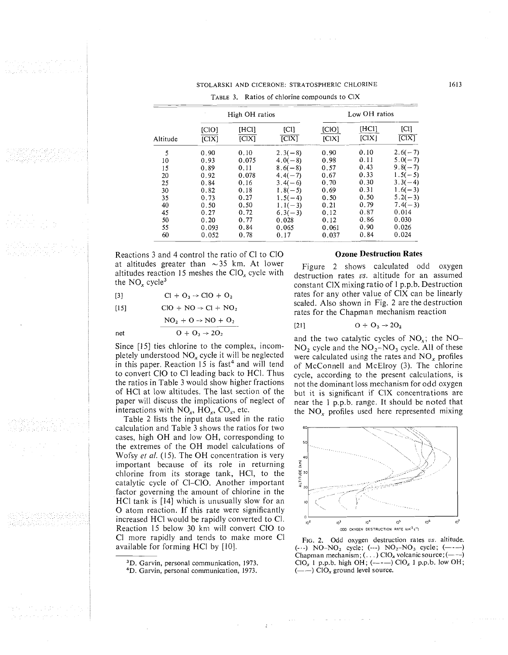# STOLARSKI AND CICERONE: STRATOSPHERIC CHLORINE

|          |                |       |                                               | TABLE 3. Ratios of chlorine compounds to CIX |       |           |
|----------|----------------|-------|-----------------------------------------------|----------------------------------------------|-------|-----------|
|          | High OH ratios |       |                                               | Low OH ratios                                |       |           |
|          | [CIO]          | [HCl] | [CI]                                          | [CIO]                                        | [HCI] | [CI]      |
| Altitude | ICIX           | ICIX  | $\overline{IC}$ $\overline{X}$ $\overline{X}$ | ICIX                                         | [CIX] | [CIX]     |
| 5        | 0.90           | 0.10  | $2.3(-8)$                                     | 0.90                                         | 0.10  | $2.6(-7)$ |
| 10       | 0.93           | 0.075 | $4.0(-8)$                                     | 0.98                                         | 0.11  | $5.0(-7)$ |
| 15       | 0.89           | 0.11  | $8.6(-8)$                                     | 0.57                                         | 0.43  | $9.8(-7)$ |
| 20       | 0.92           | 0.078 | $4.4(-7)$                                     | 0.67                                         | 0.33  | $1.5(-5)$ |
| 25       | 0.84           | 0.16  | $3.4(-6)$                                     | 0.70                                         | 0.30  | $3.3(-4)$ |
| 30       | 0.82           | 0.18  | $1.8(-5)$                                     | 0.69                                         | 0.31  | $1.6(-3)$ |
| 35       | 0.73           | 0.27  | $1.5(-4)$                                     | 0.50                                         | 0.50  | $5.2(-3)$ |
| 40       | 0.50           | 0.50  | $1.1(-3)$                                     | 0.21                                         | 0.79  | $7.4(-3)$ |
| 45       | 0.27           | 0.72  | $6,3(-3)$                                     | 0.12                                         | 0.87  | 0.014     |
| 50       | 0.20           | 0.77  | 0.028                                         | 0.12                                         | 0.86  | 0.030     |
| 55       | 0.093          | 0.84  | 0.065                                         | 0.061                                        | 0.90  | 0.026     |
| 60       | 0.052          | 0.78  | 0.17                                          | 0.037                                        | 0.84  | 0.024     |

Reactions 3 and 4 control the ratio of C1 to C10 at altitudes greater than  $\sim$ 35 km. At lower altitudes reaction 15 meshes the C10, cycle with the  $NO<sub>x</sub> cycle<sup>3</sup>$ 

 $Cl + O_3 \rightarrow ClO + O_2$  $[3]$ 

 $ClO + NO \rightarrow Cl + NO_2$  $[15]$ 

 $\mbox{NO_2\, + O} \rightarrow \mbox{NO\, + O_2}$ 

net  $0 + O_3 \rightarrow 2O_2$ 

Since [I51 ties chlorine to the complex, incompletely understood  $NO<sub>x</sub>$  cycle it will be neglected in this paper. Reaction 15 is fast<sup>4</sup> and will tend to convert C10 to C1 leading back to HC1. Thus the ratios in Table 3 would show higher fractions of HC1 at low altitudes. The last section of the paper will discuss the implications of neglect of interactions with  $NO_x$ ,  $HO_x$ ,  $CO_x$ , etc.

Table 2 lists the input data used in the ratio calculation and Table 3 shows the ratios for two cases, high OH and low OH, corresponding to the extremes of the OH model calculations of Wofsy et al. (15). The OH concentration is very important because of its role in returning chlorine from its storage tank, HCI, to the catalytic cycle of CI-C10. Another important factor governing the amount of chlorine in the HCl tank is  $[14]$  which is unusually slow for an 0 atom reaction. If this rate were significantly <sup>I</sup> <sup>1</sup>increased HC1 would be rapidly converted to C1. Reaction 15 below 30 kni will convert C10 to 1 C1 more rapidly and tends to make more C1 available for forming HCl by [10].

3D. Garvin, personal communication, 1973.

4D. Garvin, personal communication, 1973.

 $\pm$   $\pm$ 

 $\mathcal{F}^*_{\text{cav}}$  , is given

# **Ozone Destruction Rates**

Figure 2 shows calculated odd oxygen destruction rates *vs*. altitude for an assumed constant CIX mixing ratio of 1 p.p.b. Destruction rates for any other value of C1X can be linearly scaled. Also shown in Fig. 2 are the destruction rates for the Chapman mechanism reaction

$$
[21] \qquad \qquad O + O_3 \rightarrow 2O_2
$$

and the two catalytic cycles of  $NO<sub>x</sub>$ ; the  $NO<sub>-</sub>$  $NO<sub>2</sub>$  cycle and the  $NO<sub>2</sub>-NO<sub>3</sub>$  cycle. All of these were calculated using the rates and  $NO_x$  profiles of McConnell and McElroy (3). The chlorine cycle, according to the present calculations, is not the dominant loss mechanism for odd oxygen but it is significant if CIX concentrations are near the 1 p.p.b. range. It should be noted that the  $NO<sub>r</sub>$  profiles used here represented mixing





1613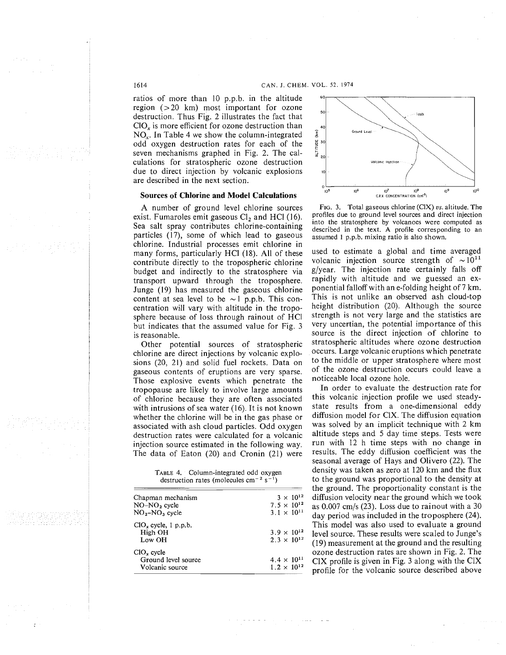ratios of more than 10 p.p.b. in the altitude region (>20 km) most important for ozone destruction. Thus Fig. 2 illustrates the fact that  $ClO<sub>r</sub>$  is more efficient for ozone destruction than NO.,. In Table 4 we show the column-integrated odd oxygen destruction rates for each of the seven mechanisms graphed in Fig. 2. The calculations for stratospheric ozone destruction due to direct injection by volcanic explosions are described in the next section.

## **Sources of Chlorine and Model Calculations**

A number of ground level chlorine sources exist. Fumaroles emit gaseous  $Cl<sub>2</sub>$  and HCl (16). Sea salt spray contributes chlorine-containing particles (17), some of which lead to gaseous chlorine. Industrial processes emit chlorine in many forms, particularly HC1 (18). All of these contribute directly to the tropospheric chlorine budget and indirectly to the stratosphere via transport upward through the troposphere. Junge (19) has measured the gaseous chlorine content at sea level to be  $\sim$ 1 p.p.b. This concentration will vary with altitude in the troposphere because of loss through rainout of HCI but indicates that the assumed value for Fig. 3 is reasonable.

Other potential sources of stratospheric chlorine are direct injections by volcanic explosions (20, 21) and solid fuel rockets. Data on gaseous contents of eruptions are very sparse. Those explosive events which penetrate the tropopause are likely to involve large amounts of chlorine because they are often associated with intrusions of sea water (16). It is not known whether the chlorine will be in the gas phase or associated with ash cloud particles. Odd oxygen destruction rates were calculated for a volcanic injection source estimated in the following way. The data of Eaton (20) and Cronin (21) were

TABLE 4. Column-integrated odd oxygen destruction rates (molecules cm<sup>-2</sup> s<sup>-1</sup>)

| Chapman mechanism      | $3 \times 10^{12}$   |
|------------------------|----------------------|
| $NO-NO2$ cycle         | $7.5 \times 10^{12}$ |
| $NO2-NO3$ cycle        | $3.1 \times 10^{11}$ |
| $ClOx$ cycle, 1 p.p.b. |                      |
| High OH                | $3.9 \times 10^{12}$ |
| Low OH                 | $2.3 \times 10^{12}$ |
| $ClOx$ cycle           |                      |
| Ground level source    | $4.4 \times 10^{11}$ |
| Volcanic source        | $1.2 \times 10^{12}$ |



FIG. 3. Total gaseous chlorine (CIX) **us.** altitude. The profiles due to ground level sources and direct injection into the stratosphere by volcanoes were computed as described in the text. **A** profile corresponding to an assumed 1 p.p.b. mixing ratio is also shown.

used to estimate a global and time averaged volcanic injection source strength of  $\sim 10^{11}$ g/year. The injection rate certainly falls off rapidly with altitude and we guessed an exponential falloff with an e-folding height of 7 km. This is not unlike an observed ash cloud-top height distribution (20). Although the source strength is not very large and the statistics are very uncertian, the potential importance of this source is the direct injection of chlorine to stratospheric altitudes where ozone destruction occurs. Large volcanic eruptions which penetrate to the middle or upper stratosphere where most of the ozone destruction occurs could leave a noticeable local ozone hole.

In order to evaluate the destruction rate for this volcanic injection profile we used steadystate results from a one-dimensional eddy diffusion model for CIX. The diffusion equation was solved by an implicit technique with 2 km altitude steps and 5 day time steps. Tests were run with 12 h time steps with no change in results. The eddy diffusion coefficient was the seasonal average of Hays and Olivero (22). The density was taken as zero at 120 km and the flux to the ground was proportional to the density at the ground. The proportionality constant is the diffusion velocity near the ground which we took as 0.007 cm/s (23). Loss due to rainout with a 30 day period was included in the troposphere (24). This model was also used to evaluate a ground level source. These results were scaled to Junge's (19) measurement at the ground and the resulting ozone destruction rates are shown in Fig. 2. The ClX profile is given in Fig. 3 along with the CIX profile for the volcanic source described above